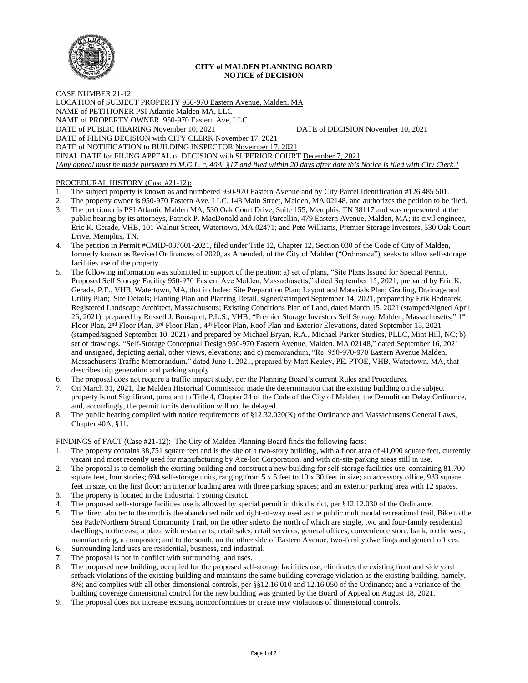

## **CITY of MALDEN PLANNING BOARD NOTICE of DECISION**

CASE NUMBER 21-12 LOCATION of SUBJECT PROPERTY 950-970 Eastern Avenue, Malden, MA NAME of PETITIONER PSI Atlantic Malden MA, LLC NAME of PROPERTY OWNER 950-970 Eastern Ave, LLC DATE of PUBLIC HEARING November 10, 2021 DATE of DECISION November 10, 2021 DATE of FILING DECISION with CITY CLERK November 17, 2021 DATE of NOTIFICATION to BUILDING INSPECTOR November 17, 2021 FINAL DATE for FILING APPEAL of DECISION with SUPERIOR COURT December 7, 2021 *[Any appeal must be made pursuant to M.G.L. c. 40A, §17 and filed within 20 days after date this Notice is filed with City Clerk.]* 

## PROCEDURAL HISTORY (Case #21-12):

- 1. The subject property is known as and numbered 950-970 Eastern Avenue and by City Parcel Identification #126 485 501.
- 2. The property owner is 950-970 Eastern Ave, LLC, 148 Main Street, Malden, MA 02148, and authorizes the petition to be filed.
- 3. The petitioner is PSI Atlantic Malden MA, 530 Oak Court Drive, Suite 155, Memphis, TN 38117 and was represented at the public hearing by its attorneys, Patrick P. MacDonald and John Parcellin, 479 Eastern Avenue, Malden, MA; its civil engineer, Eric K. Gerade, VHB, 101 Walnut Street, Watertown, MA 02471; and Pete Williams, Premier Storage Investors, 530 Oak Court Drive, Memphis, TN.
- 4. The petition in Permit #CMID-037601-2021, filed under Title 12, Chapter 12, Section 030 of the Code of City of Malden, formerly known as Revised Ordinances of 2020, as Amended, of the City of Malden ("Ordinance"), seeks to allow self-storage facilities use of the property.
- 5. The following information was submitted in support of the petition: a) set of plans, "Site Plans Issued for Special Permit, Proposed Self Storage Facility 950-970 Eastern Ave Malden, Massachusetts," dated September 15, 2021, prepared by Eric K. Gerade, P.E., VHB, Watertown, MA, that includes: Site Preparation Plan; Layout and Materials Plan; Grading, Drainage and Utility Plan; Site Details; Planting Plan and Planting Detail, signed/stamped September 14, 2021, prepared by Erik Bednarek, Registered Landscape Architect, Massachusetts; Existing Conditions Plan of Land, dated March 15, 2021 (stamped/signed April 26, 2021), prepared by Russell J. Bousquet, P.L.S., VHB; "Premier Storage Investors Self Storage Malden, Massachusetts," 1st Floor Plan, 2<sup>nd</sup> Floor Plan, 3<sup>rd</sup> Floor Plan, 4<sup>th</sup> Floor Plan, Roof Plan and Exterior Elevations, dated September 15, 2021 (stamped/signed September 10, 2021) and prepared by Michael Bryan, R.A., Michael Parker Studios, PLLC, Mint Hill, NC; b) set of drawings, "Self-Storage Conceptual Design 950-970 Eastern Avenue, Malden, MA 02148," dated September 16, 2021 and unsigned, depicting aerial, other views, elevations; and c) memorandum, "Re: 950-970-970 Eastern Avenue Malden, Massachusetts Traffic Memorandum," dated June 1, 2021, prepared by Matt Kealey, PE, PTOE, VHB, Watertown, MA, that describes trip generation and parking supply.
- 6. The proposal does not require a traffic impact study, per the Planning Board's current Rules and Procedures.
- 7. On March 31, 2021, the Malden Historical Commission made the determination that the existing building on the subject property is not Significant, pursuant to Title 4, Chapter 24 of the Code of the City of Malden, the Demolition Delay Ordinance, and, accordingly, the permit for its demolition will not be delayed.
- 8. The public hearing complied with notice requirements of §12.32.020(K) of the Ordinance and Massachusetts General Laws, Chapter 40A, §11.

FINDINGS of FACT (Case #21-12): The City of Malden Planning Board finds the following facts:

- 1. The property contains 38,751 square feet and is the site of a two-story building, with a floor area of 41,000 square feet, currently vacant and most recently used for manufacturing by Ace-lon Corporation, and with on-site parking areas still in use.
- 2. The proposal is to demolish the existing building and construct a new building for self-storage facilities use, containing 81,700 square feet, four stories; 694 self-storage units, ranging from 5 x 5 feet to 10 x 30 feet in size; an accessory office, 933 square feet in size, on the first floor; an interior loading area with three parking spaces; and an exterior parking area with 12 spaces.
- 3. The property is located in the Industrial 1 zoning district.
- 4. The proposed self-storage facilities use is allowed by special permit in this district, per §12.12.030 of the Ordinance.
- 5. The direct abutter to the north is the abandoned railroad right-of-way used as the public multimodal recreational trail, Bike to the Sea Path/Northern Strand Community Trail, on the other side/to the north of which are single, two and four-family residential dwellings; to the east, a plaza with restaurants, retail sales, retail services, general offices, convenience store, bank; to the west, manufacturing, a composter; and to the south, on the other side of Eastern Avenue, two-family dwellings and general offices.
- 6. Surrounding land uses are residential, business, and industrial.
- 7. The proposal is not in conflict with surrounding land uses.
- 8. The proposed new building, occupied for the proposed self-storage facilities use, eliminates the existing front and side yard setback violations of the existing building and maintains the same building coverage violation as the existing building, namely, 8%; and complies with all other dimensional controls, per §§12.16.010 and 12.16.050 of the Ordinance; and a variance of the building coverage dimensional control for the new building was granted by the Board of Appeal on August 18, 2021.
- 9. The proposal does not increase existing nonconformities or create new violations of dimensional controls.